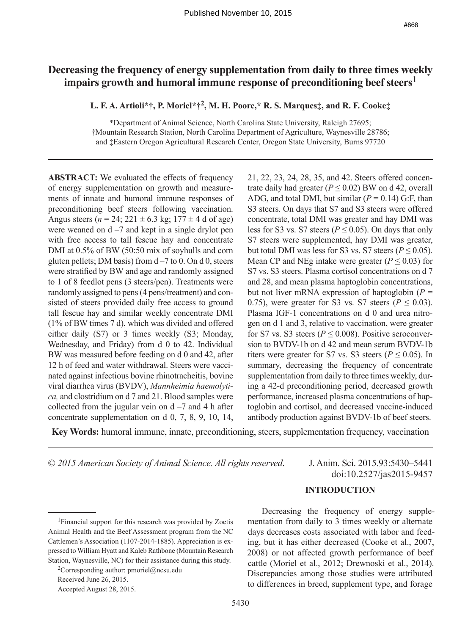# **Decreasing the frequency of energy supplementation from daily to three times weekly impairs growth and humoral immune response of preconditioning beef steers1**

**L. F. A. Artioli\*†, P. Moriel\*†2, M. H. Poore,\* R. S. Marques‡, and R. F. Cooke‡**

\*Department of Animal Science, North Carolina State University, Raleigh 27695; †Mountain Research Station, North Carolina Department of Agriculture, Waynesville 28786; and ‡Eastern Oregon Agricultural Research Center, Oregon State University, Burns 97720

**ABSTRACT:** We evaluated the effects of frequency of energy supplementation on growth and measurements of innate and humoral immune responses of preconditioning beef steers following vaccination. Angus steers ( $n = 24$ ; 221  $\pm$  6.3 kg; 177  $\pm$  4 d of age) were weaned on  $d - 7$  and kept in a single drylot pen with free access to tall fescue hay and concentrate DMI at 0.5% of BW (50:50 mix of soyhulls and corn gluten pellets; DM basis) from  $d - 7$  to 0. On d 0, steers were stratified by BW and age and randomly assigned to 1 of 8 feedlot pens (3 steers/pen). Treatments were randomly assigned to pens (4 pens/treatment) and consisted of steers provided daily free access to ground tall fescue hay and similar weekly concentrate DMI (1% of BW times 7 d), which was divided and offered either daily (S7) or 3 times weekly (S3; Monday, Wednesday, and Friday) from d 0 to 42. Individual BW was measured before feeding on d 0 and 42, after 12 h of feed and water withdrawal. Steers were vaccinated against infectious bovine rhinotracheitis, bovine viral diarrhea virus (BVDV), *Mannheimia haemolytica,* and clostridium on d 7 and 21. Blood samples were collected from the jugular vein on  $d - 7$  and 4 h after concentrate supplementation on d 0, 7, 8, 9, 10, 14, 21, 22, 23, 24, 28, 35, and 42. Steers offered concentrate daily had greater ( $P \le 0.02$ ) BW on d 42, overall ADG, and total DMI, but similar  $(P = 0.14)$  G:F, than S3 steers. On days that S7 and S3 steers were offered concentrate, total DMI was greater and hay DMI was less for S3 vs. S7 steers ( $P \le 0.05$ ). On days that only S7 steers were supplemented, hay DMI was greater, but total DMI was less for S3 vs. S7 steers ( $P \le 0.05$ ). Mean CP and NEg intake were greater ( $P \le 0.03$ ) for S7 vs. S3 steers. Plasma cortisol concentrations on d 7 and 28, and mean plasma haptoglobin concentrations, but not liver mRNA expression of haptoglobin  $(P =$ 0.75), were greater for S3 vs. S7 steers ( $P \le 0.03$ ). Plasma IGF-1 concentrations on d 0 and urea nitrogen on d 1 and 3, relative to vaccination, were greater for S7 vs. S3 steers ( $P \le 0.008$ ). Positive seroconversion to BVDV-1b on d 42 and mean serum BVDV-1b titers were greater for S7 vs. S3 steers ( $P \le 0.05$ ). In summary, decreasing the frequency of concentrate supplementation from daily to three times weekly, during a 42-d preconditioning period, decreased growth performance, increased plasma concentrations of haptoglobin and cortisol, and decreased vaccine-induced antibody production against BVDV-1b of beef steers.

**Key Words:** humoral immune, innate, preconditioning, steers, supplementation frequency, vaccination

© *2015 American Society of Animal Science. All rights reserved*. J. Anim. Sci. 2015.93:5430–5441

doi:10.2527/jas2015-9457

# **INTRODUCTION**

Received June 26, 2015.

Decreasing the frequency of energy supplementation from daily to 3 times weekly or alternate days decreases costs associated with labor and feeding, but it has either decreased (Cooke et al., 2007, 2008) or not affected growth performance of beef cattle (Moriel et al., 2012; Drewnoski et al., 2014). Discrepancies among those studies were attributed to differences in breed, supplement type, and forage

<sup>1</sup>Financial support for this research was provided by Zoetis Animal Health and the Beef Assessment program from the NC Cattlemen's Association (1107-2014-1885). Appreciation is expressed to William Hyatt and Kaleb Rathbone (Mountain Research Station, Waynesville, NC) for their assistance during this study.

<sup>&</sup>lt;sup>2</sup>Corresponding author: pmoriel@ncsu.edu

Accepted August 28, 2015.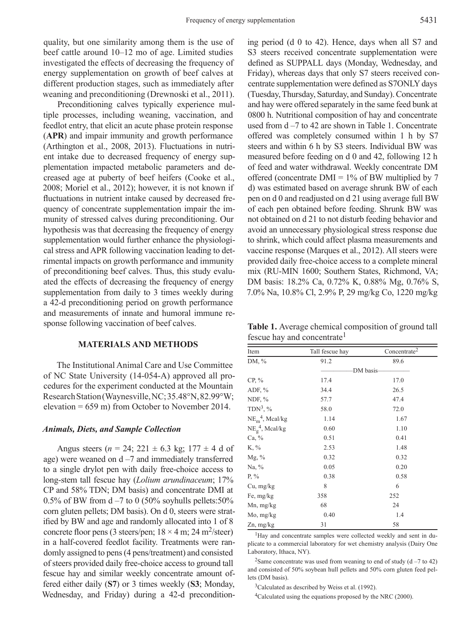quality, but one similarity among them is the use of beef cattle around 10–12 mo of age. Limited studies investigated the effects of decreasing the frequency of energy supplementation on growth of beef calves at different production stages, such as immediately after weaning and preconditioning (Drewnoski et al., 2011).

Preconditioning calves typically experience multiple processes, including weaning, vaccination, and feedlot entry, that elicit an acute phase protein response (**APR**) and impair immunity and growth performance (Arthington et al., 2008, 2013). Fluctuations in nutrient intake due to decreased frequency of energy supplementation impacted metabolic parameters and decreased age at puberty of beef heifers (Cooke et al., 2008; Moriel et al., 2012); however, it is not known if fluctuations in nutrient intake caused by decreased frequency of concentrate supplementation impair the immunity of stressed calves during preconditioning. Our hypothesis was that decreasing the frequency of energy supplementation would further enhance the physiological stress and APR following vaccination leading to detrimental impacts on growth performance and immunity of preconditioning beef calves. Thus, this study evaluated the effects of decreasing the frequency of energy supplementation from daily to 3 times weekly during a 42-d preconditioning period on growth performance and measurements of innate and humoral immune response following vaccination of beef calves.

## **MATERIALS AND METHODS**

The Institutional Animal Care and Use Committee of NC State University (14-054-A) approved all procedures for the experiment conducted at the Mountain Research Station (Waynesville, NC; 35.48°N, 82.99°W; elevation = 659 m) from October to November 2014.

### *Animals, Diets, and Sample Collection*

Angus steers ( $n = 24$ ; 221  $\pm$  6.3 kg; 177  $\pm$  4 d of age) were weaned on  $d - 7$  and immediately transferred to a single drylot pen with daily free-choice access to long-stem tall fescue hay (*Lolium arundinaceum*; 17% CP and 58% TDN; DM basis) and concentrate DMI at 0.5% of BW from  $d - 7$  to 0 (50% soyhulls pellets:50% corn gluten pellets; DM basis). On d 0, steers were stratified by BW and age and randomly allocated into 1 of 8 concrete floor pens (3 steers/pen;  $18 \times 4$  m;  $24$  m<sup>2</sup>/steer) in a half-covered feedlot facility. Treatments were randomly assigned to pens (4 pens/treatment) and consisted of steers provided daily free-choice access to ground tall fescue hay and similar weekly concentrate amount offered either daily (**S7**) or 3 times weekly (**S3**; Monday, Wednesday, and Friday) during a 42-d precondition-

ing period (d 0 to 42). Hence, days when all S7 and S3 steers received concentrate supplementation were defined as SUPPALL days (Monday, Wednesday, and Friday), whereas days that only S7 steers received concentrate supplementation were defined as S7ONLY days (Tuesday, Thursday, Saturday, and Sunday). Concentrate and hay were offered separately in the same feed bunk at 0800 h. Nutritional composition of hay and concentrate used from d –7 to 42 are shown in Table 1. Concentrate offered was completely consumed within 1 h by S7 steers and within 6 h by S3 steers. Individual BW was measured before feeding on d 0 and 42, following 12 h of feed and water withdrawal. Weekly concentrate DM offered (concentrate  $DMI = 1\%$  of BW multiplied by 7 d) was estimated based on average shrunk BW of each pen on d 0 and readjusted on d 21 using average full BW of each pen obtained before feeding. Shrunk BW was not obtained on d 21 to not disturb feeding behavior and avoid an unnecessary physiological stress response due to shrink, which could affect plasma measurements and vaccine response (Marques et al., 2012). All steers were provided daily free-choice access to a complete mineral mix (RU-MIN 1600; Southern States, Richmond, VA; DM basis: 18.2% Ca, 0.72% K, 0.88% Mg, 0.76% S, 7.0% Na, 10.8% Cl, 2.9% P, 29 mg/kg Co, 1220 mg/kg

**Table 1.** Average chemical composition of ground tall fescue hay and concentrate<sup>1</sup>

| Item                           | Tall fescue hay | Concentrate <sup>2</sup> |  |  |
|--------------------------------|-----------------|--------------------------|--|--|
| DM, %                          | 91.2            | 89.6                     |  |  |
|                                | DM basis-       |                          |  |  |
| $CP, \%$                       | 17.4            | 17.0                     |  |  |
| ADF, $%$                       | 34.4            | 26.5                     |  |  |
| NDF, $%$                       | 57.7            | 47.4                     |  |  |
| $TDN3$ , %                     | 58.0            | 72.0                     |  |  |
| $NE_m^4$ , Meal/kg             | 1.14            | 1.67                     |  |  |
| $NE_{\mathcal{Q}}^4$ , Mcal/kg | 0.60            | 1.10                     |  |  |
| Ca, %                          | 0.51            | 0.41                     |  |  |
| K, %                           | 2.53            | 1.48                     |  |  |
| $Mg, \%$                       | 0.32            | 0.32                     |  |  |
| Na, %                          | 0.05            | 0.20                     |  |  |
| P, $\%$                        | 0.38            | 0.58                     |  |  |
| Cu, mg/kg                      | 8               | 6                        |  |  |
| Fe, mg/kg                      | 358             | 252                      |  |  |
| $Mn$ , mg/kg                   | 68              | 24                       |  |  |
| Mo, mg/kg                      | 0.40            | 1.4                      |  |  |
| $Zn$ , mg/ $kg$                | 31              | 58                       |  |  |

<sup>1</sup>Hay and concentrate samples were collected weekly and sent in duplicate to a commercial laboratory for wet chemistry analysis (Dairy One Laboratory, Ithaca, NY).

<sup>2</sup>Same concentrate was used from weaning to end of study (d  $-7$  to 42) and consisted of 50% soybean hull pellets and 50% corn gluten feed pellets (DM basis).

 $3$ Calculated as described by Weiss et al. (1992).

<sup>4</sup>Calculated using the equations proposed by the NRC (2000).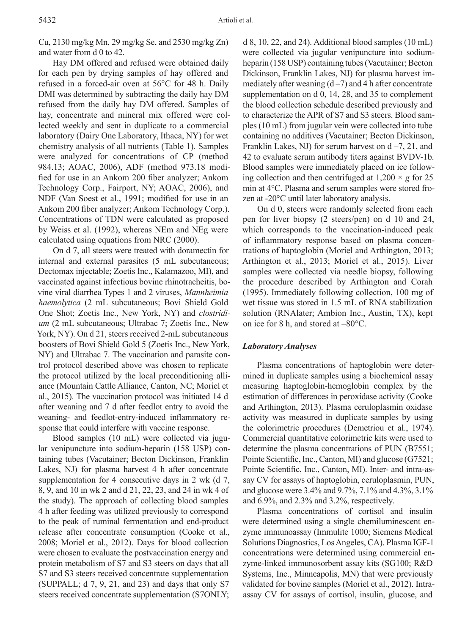Cu, 2130 mg/kg Mn, 29 mg/kg Se, and 2530 mg/kg Zn) and water from d 0 to 42.

Hay DM offered and refused were obtained daily for each pen by drying samples of hay offered and refused in a forced-air oven at 56°C for 48 h. Daily DMI was determined by subtracting the daily hay DM refused from the daily hay DM offered. Samples of hay, concentrate and mineral mix offered were collected weekly and sent in duplicate to a commercial laboratory (Dairy One Laboratory, Ithaca, NY) for wet chemistry analysis of all nutrients (Table 1). Samples were analyzed for concentrations of CP (method 984.13; AOAC, 2006), ADF (method 973.18 modified for use in an Ankom 200 fiber analyzer; Ankom Technology Corp., Fairport, NY; AOAC, 2006), and NDF (Van Soest et al., 1991; modified for use in an Ankom 200 fiber analyzer; Ankom Technology Corp.). Concentrations of TDN were calculated as proposed by Weiss et al. (1992), whereas NEm and NEg were calculated using equations from NRC (2000).

On d 7, all steers were treated with doramectin for internal and external parasites (5 mL subcutaneous; Dectomax injectable; Zoetis Inc., Kalamazoo, MI), and vaccinated against infectious bovine rhinotracheitis, bovine viral diarrhea Types 1 and 2 viruses, *Mannheimia haemolytica* (2 mL subcutaneous; Bovi Shield Gold One Shot; Zoetis Inc., New York, NY) and *clostridium* (2 mL subcutaneous; Ultrabac 7; Zoetis Inc., New York, NY). On d 21, steers received 2-mL subcutaneous boosters of Bovi Shield Gold 5 (Zoetis Inc., New York, NY) and Ultrabac 7. The vaccination and parasite control protocol described above was chosen to replicate the protocol utilized by the local preconditioning alliance (Mountain Cattle Alliance, Canton, NC; Moriel et al., 2015). The vaccination protocol was initiated 14 d after weaning and 7 d after feedlot entry to avoid the weaning- and feedlot-entry-induced inflammatory response that could interfere with vaccine response.

Blood samples (10 mL) were collected via jugular venipuncture into sodium-heparin (158 USP) containing tubes (Vacutainer; Becton Dickinson, Franklin Lakes, NJ) for plasma harvest 4 h after concentrate supplementation for 4 consecutive days in 2 wk (d 7, 8, 9, and 10 in wk 2 and d 21, 22, 23, and 24 in wk 4 of the study). The approach of collecting blood samples 4 h after feeding was utilized previously to correspond to the peak of ruminal fermentation and end-product release after concentrate consumption (Cooke et al., 2008; Moriel et al., 2012). Days for blood collection were chosen to evaluate the postvaccination energy and protein metabolism of S7 and S3 steers on days that all S7 and S3 steers received concentrate supplementation (SUPPALL; d 7, 9, 21, and 23) and days that only S7 steers received concentrate supplementation (S7ONLY;

d 8, 10, 22, and 24). Additional blood samples (10 mL) were collected via jugular venipuncture into sodiumheparin (158 USP) containing tubes (Vacutainer; Becton Dickinson, Franklin Lakes, NJ) for plasma harvest immediately after weaning  $(d-7)$  and 4 h after concentrate supplementation on d 0, 14, 28, and 35 to complement the blood collection schedule described previously and to characterize the APR of S7 and S3 steers. Blood samples (10 mL) from jugular vein were collected into tube containing no additives (Vacutainer; Becton Dickinson, Franklin Lakes, NJ) for serum harvest on  $d - 7$ , 21, and 42 to evaluate serum antibody titers against BVDV-1b. Blood samples were immediately placed on ice following collection and then centrifuged at  $1,200 \times g$  for 25 min at 4°C. Plasma and serum samples were stored frozen at -20°C until later laboratory analysis.

On d 0, steers were randomly selected from each pen for liver biopsy (2 steers/pen) on d 10 and 24, which corresponds to the vaccination-induced peak of inflammatory response based on plasma concentrations of haptoglobin (Moriel and Arthington, 2013; Arthington et al., 2013; Moriel et al., 2015). Liver samples were collected via needle biopsy, following the procedure described by Arthington and Corah (1995). Immediately following collection, 100 mg of wet tissue was stored in 1.5 mL of RNA stabilization solution (RNAlater; Ambion Inc., Austin, TX), kept on ice for 8 h, and stored at –80°C.

### *Laboratory Analyses*

Plasma concentrations of haptoglobin were determined in duplicate samples using a biochemical assay measuring haptoglobin-hemoglobin complex by the estimation of differences in peroxidase activity (Cooke and Arthington, 2013). Plasma ceruloplasmin oxidase activity was measured in duplicate samples by using the colorimetric procedures (Demetriou et al., 1974). Commercial quantitative colorimetric kits were used to determine the plasma concentrations of PUN (B7551; Pointe Scientific, Inc., Canton, MI) and glucose (G7521; Pointe Scientific, Inc., Canton, MI). Inter- and intra-assay CV for assays of haptoglobin, ceruloplasmin, PUN, and glucose were 3.4% and 9.7%, 7.1% and 4.3%, 3.1% and 6.9%, and 2.3% and 3.2%, respectively.

Plasma concentrations of cortisol and insulin were determined using a single chemiluminescent enzyme immunoassay (Immulite 1000; Siemens Medical Solutions Diagnostics, Los Angeles, CA). Plasma IGF-1 concentrations were determined using commercial enzyme-linked immunosorbent assay kits (SG100; R&D Systems, Inc., Minneapolis, MN) that were previously validated for bovine samples (Moriel et al., 2012). Intraassay CV for assays of cortisol, insulin, glucose, and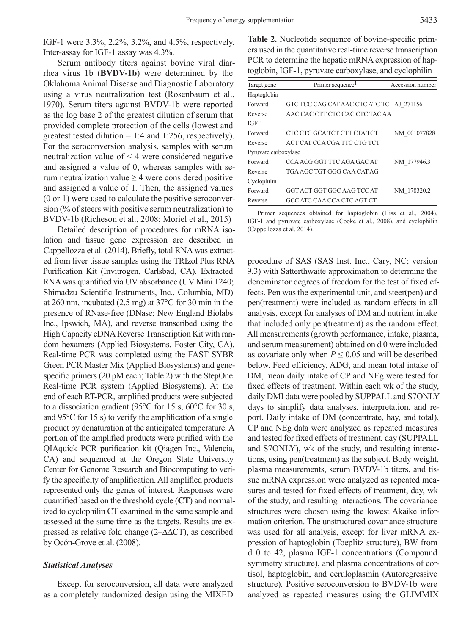IGF-1 were 3.3%, 2.2%, 3.2%, and 4.5%, respectively. Inter-assay for IGF-1 assay was 4.3%.

Serum antibody titers against bovine viral diarrhea virus 1b (**BVDV-1b**) were determined by the Oklahoma Animal Disease and Diagnostic Laboratory using a virus neutralization test (Rosenbaum et al., 1970). Serum titers against BVDV-1b were reported as the log base 2 of the greatest dilution of serum that provided complete protection of the cells (lowest and greatest tested dilution  $= 1:4$  and 1:256, respectively). For the seroconversion analysis, samples with serum neutralization value of < 4 were considered negative and assigned a value of 0, whereas samples with serum neutralization value  $\geq$  4 were considered positive and assigned a value of 1. Then, the assigned values (0 or 1) were used to calculate the positive seroconversion (% of steers with positive serum neutralization) to BVDV-1b (Richeson et al., 2008; Moriel et al., 2015)

Detailed description of procedures for mRNA isolation and tissue gene expression are described in Cappellozza et al. (2014). Briefly, total RNA was extracted from liver tissue samples using the TRIzol Plus RNA Purification Kit (Invitrogen, Carlsbad, CA). Extracted RNA was quantified via UV absorbance (UV Mini 1240; Shimadzu Scientific Instruments, Inc., Columbia, MD) at 260 nm, incubated (2.5 mg) at 37°C for 30 min in the presence of RNase-free (DNase; New England Biolabs Inc., Ipswich, MA), and reverse transcribed using the High Capacity cDNA Reverse Transcription Kit with random hexamers (Applied Biosystems, Foster City, CA). Real-time PCR was completed using the FAST SYBR Green PCR Master Mix (Applied Biosystems) and genespecific primers (20 pM each; Table 2) with the StepOne Real-time PCR system (Applied Biosystems). At the end of each RT-PCR, amplified products were subjected to a dissociation gradient (95°C for 15 s, 60°C for 30 s, and 95°C for 15 s) to verify the amplification of a single product by denaturation at the anticipated temperature. A portion of the amplified products were purified with the QIAquick PCR purification kit (Qiagen Inc., Valencia, CA) and sequenced at the Oregon State University Center for Genome Research and Biocomputing to verify the specificity of amplification. All amplified products represented only the genes of interest. Responses were quantified based on the threshold cycle (**CT**) and normalized to cyclophilin CT examined in the same sample and assessed at the same time as the targets. Results are expressed as relative fold change (2–∆∆CT), as described by Ocón-Grove et al. (2008).

## *Statistical Analyses*

Except for seroconversion, all data were analyzed as a completely randomized design using the MIXED **Table 2.** Nucleotide sequence of bovine-specific primers used in the quantitative real-time reverse transcription PCR to determine the hepatic mRNA expression of haptoglobin, IGF-1, pyruvate carboxylase, and cyclophilin

| Target gene          | Primer sequence <sup>1</sup>             | Accession number |
|----------------------|------------------------------------------|------------------|
| Haptoglobin          |                                          |                  |
| Forward              | GTC TCC CAG CAT AAC CTC ATC TC AJ 271156 |                  |
| Reverse              | AAC CAC CTT CTC CAC CTC TAC AA           |                  |
| $IGF-1$              |                                          |                  |
| Forward              | CTC CTC GCA TCT CTT CTA TCT              | NM 001077828     |
| Reverse              | ACT CAT CCA CGA TTC CTG TCT              |                  |
| Pyruvate carboxylase |                                          |                  |
| Forward              | CCA ACG GGT TTC AGA GAC AT               | NM 177946.3      |
| Reverse              | TGA AGC TGT GGG CAA CAT AG               |                  |
| Cyclophilin          |                                          |                  |
| Forward              | GGT ACT GGT GGC AAG TCC AT               | NM 178320.2      |
| Reverse              | GCC ATC CAA CCA CTC AGT CT               |                  |

<sup>1</sup>Primer sequences obtained for haptoglobin (Hiss et al., 2004), IGF-1 and pyruvate carboxylase (Cooke et al., 2008), and cyclophilin (Cappellozza et al. 2014).

procedure of SAS (SAS Inst. Inc., Cary, NC; version 9.3) with Satterthwaite approximation to determine the denominator degrees of freedom for the test of fixed effects. Pen was the experimental unit, and steer(pen) and pen(treatment) were included as random effects in all analysis, except for analyses of DM and nutrient intake that included only pen(treatment) as the random effect. All measurements (growth performance, intake, plasma, and serum measurement) obtained on d 0 were included as covariate only when  $P \leq 0.05$  and will be described below. Feed efficiency, ADG, and mean total intake of DM, mean daily intake of CP and NEg were tested for fixed effects of treatment. Within each wk of the study, daily DMI data were pooled by SUPPALL and S7ONLY days to simplify data analyses, interpretation, and report. Daily intake of DM (concentrate, hay, and total), CP and NEg data were analyzed as repeated measures and tested for fixed effects of treatment, day (SUPPALL and S7ONLY), wk of the study, and resulting interactions, using pen(treatment) as the subject. Body weight, plasma measurements, serum BVDV-1b titers, and tissue mRNA expression were analyzed as repeated measures and tested for fixed effects of treatment, day, wk of the study, and resulting interactions. The covariance structures were chosen using the lowest Akaike information criterion. The unstructured covariance structure was used for all analysis, except for liver mRNA expression of haptoglobin (Toeplitz structure), BW from d 0 to 42, plasma IGF-1 concentrations (Compound symmetry structure), and plasma concentrations of cortisol, haptoglobin, and ceruloplasmin (Autoregressive structure). Positive seroconversion to BVDV-1b were analyzed as repeated measures using the GLIMMIX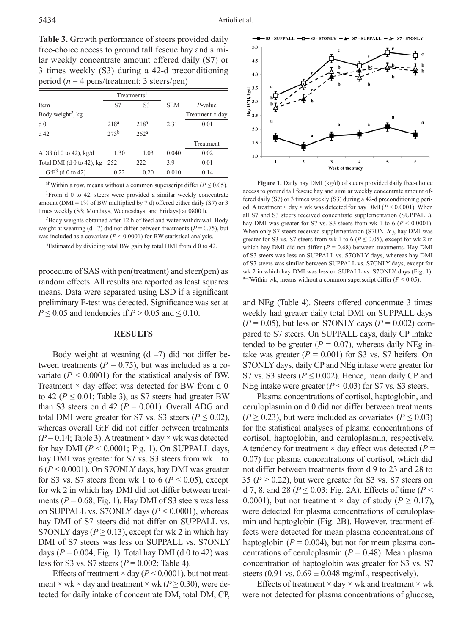Table 3. Growth performance of steers provided daily free-choice access to ground tall fescue hay and similar weekly concentrate amount offered daily (S7) or 3 times weekly (S3) during a 42-d preconditioning period (*n* = 4 pens/treatment; 3 steers/pen)

|                                  | Treatments <sup>1</sup> |                  |            |                        |
|----------------------------------|-------------------------|------------------|------------|------------------------|
| Item                             | S7                      | S <sub>3</sub>   | <b>SEM</b> | $P$ -value             |
| Body weight <sup>2</sup> , kg    |                         |                  |            | Treatment $\times$ day |
| d <sub>0</sub>                   | 218 <sup>a</sup>        | 218 <sup>a</sup> | 2.31       | 0.01                   |
| d <sub>42</sub>                  | 273 <sup>b</sup>        | 262 <sup>a</sup> |            |                        |
|                                  |                         |                  |            | Treatment              |
| ADG (d 0 to 42), $kg/d$          | 1.30                    | 1.03             | 0.040      | 0.02                   |
| Total DMI (d $\theta$ to 42), kg | 252                     | 222              | 3.9        | 0.01                   |
| G: $F^3$ (d 0 to 42)             | 0.22                    | 0.20             | 0.010      | 0.14                   |

abWithin a row, means without a common superscript differ ( $P \le 0.05$ ). <sup>1</sup>From d 0 to 42, steers were provided a similar weekly concentrate amount (DMI =  $1\%$  of BW multiplied by 7 d) offered either daily (S7) or 3 times weekly (S3; Mondays, Wednesdays, and Fridays) at 0800 h.

<sup>2</sup>Body weights obtained after 12 h of feed and water withdrawal. Body weight at weaning  $(d-7)$  did not differ between treatments  $(P = 0.75)$ , but was included as a covariate (*P* < 0.0001) for BW statistical analysis.

<sup>3</sup>Estimated by dividing total BW gain by total DMI from d 0 to 42.

procedure of SAS with pen(treatment) and steer(pen) as random effects. All results are reported as least squares means. Data were separated using LSD if a significant preliminary F-test was detected. Significance was set at  $P \le 0.05$  and tendencies if  $P > 0.05$  and  $\le 0.10$ .

#### **RESULTS**

Body weight at weaning  $(d - 7)$  did not differ between treatments ( $P = 0.75$ ), but was included as a covariate  $(P < 0.0001)$  for the statistical analysis of BW. Treatment  $\times$  day effect was detected for BW from d 0 to 42 ( $P \le 0.01$ ; Table 3), as S7 steers had greater BW than S3 steers on d 42 ( $P = 0.001$ ). Overall ADG and total DMI were greater for S7 vs. S3 steers ( $P \le 0.02$ ), whereas overall G:F did not differ between treatments  $(P=0.14;$  Table 3). A treatment  $\times$  day  $\times$  wk was detected for hay DMI  $(P < 0.0001$ ; Fig. 1). On SUPPALL days, hay DMI was greater for S7 vs. S3 steers from wk 1 to 6 (*P* < 0.0001). On S7ONLY days, hay DMI was greater for S3 vs. S7 steers from wk 1 to 6 ( $P \le 0.05$ ), except for wk 2 in which hay DMI did not differ between treatments ( $P = 0.68$ ; Fig. 1). Hay DMI of S3 steers was less on SUPPALL vs. S7ONLY days (*P* < 0.0001), whereas hay DMI of S7 steers did not differ on SUPPALL vs. S7ONLY days ( $P \ge 0.13$ ), except for wk 2 in which hay DMI of S7 steers was less on SUPPALL vs. S7ONLY days ( $P = 0.004$ ; Fig. 1). Total hay DMI (d 0 to 42) was less for S3 vs. S7 steers (*P* = 0.002; Table 4).

Effects of treatment  $\times$  day ( $P < 0.0001$ ), but not treatment  $\times$  wk  $\times$  day and treatment  $\times$  wk ( $P \ge 0.30$ ), were detected for daily intake of concentrate DM, total DM, CP,



Figure 1. Daily hay DMI (kg/d) of steers provided daily free-choice access to ground tall fescue hay and similar weekly concentrate amount offered daily (S7) or 3 times weekly (S3) during a 42-d preconditioning period. A treatment  $\times$  day  $\times$  wk was detected for hay DMI ( $P \le 0.0001$ ). When all S7 and S3 steers received concentrate supplementation (SUPPALL), hay DMI was greater for S7 vs. S3 steers from wk 1 to 6 ( $P < 0.0001$ ). When only S7 steers received supplementation (S7ONLY), hay DMI was greater for S3 vs. S7 steers from wk 1 to 6 ( $P \le 0.05$ ), except for wk 2 in which hay DMI did not differ  $(P = 0.68)$  between treatments. Hay DMI of S3 steers was less on SUPPALL vs. S7ONLY days, whereas hay DMI of S7 steers was similar between SUPPALL vs. S7ONLY days, except for wk 2 in which hay DMI was less on SUPALL vs. S7ONLY days (Fig. 1).  $a$ –cWithin wk, means without a common superscript differ (*P* ≤ 0.05).

and NEg (Table 4). Steers offered concentrate 3 times weekly had greater daily total DMI on SUPPALL days  $(P = 0.05)$ , but less on S7ONLY days  $(P = 0.002)$  compared to S7 steers. On SUPPALL days, daily CP intake tended to be greater  $(P = 0.07)$ , whereas daily NEg intake was greater  $(P = 0.001)$  for S3 vs. S7 heifers. On S7ONLY days, daily CP and NEg intake were greater for S7 vs. S3 steers ( $P \le 0.002$ ). Hence, mean daily CP and NEg intake were greater ( $P \le 0.03$ ) for S7 vs. S3 steers.

Plasma concentrations of cortisol, haptoglobin, and ceruloplasmin on d 0 did not differ between treatments  $(P \ge 0.23)$ , but were included as covariates  $(P \le 0.03)$ for the statistical analyses of plasma concentrations of cortisol, haptoglobin, and ceruloplasmin, respectively. A tendency for treatment  $\times$  day effect was detected ( $P =$ 0.07) for plasma concentrations of cortisol, which did not differ between treatments from d 9 to 23 and 28 to 35 ( $P \ge 0.22$ ), but were greater for S3 vs. S7 steers on d 7, 8, and 28 ( $P \le 0.03$ ; Fig. 2A). Effects of time ( $P <$ 0.0001), but not treatment  $\times$  day of study ( $P \ge 0.17$ ), were detected for plasma concentrations of ceruloplasmin and haptoglobin (Fig. 2B). However, treatment effects were detected for mean plasma concentrations of haptoglobin ( $P = 0.004$ ), but not for mean plasma concentrations of ceruloplasmin ( $P = 0.48$ ). Mean plasma concentration of haptoglobin was greater for S3 vs. S7 steers (0.91 vs.  $0.69 \pm 0.048$  mg/mL, respectively).

Effects of treatment  $\times$  day  $\times$  wk and treatment  $\times$  wk were not detected for plasma concentrations of glucose,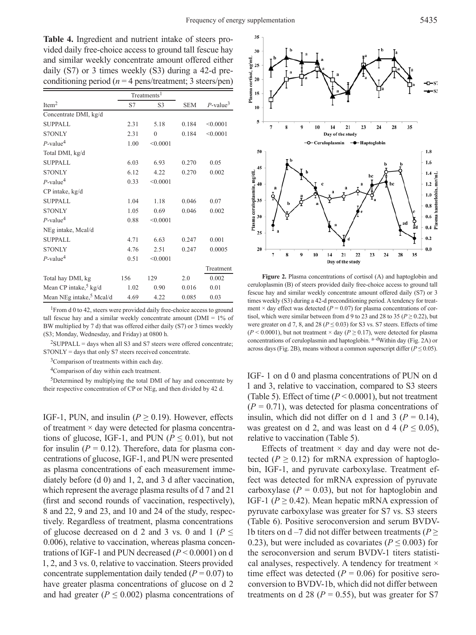**Table 4.** Ingredient and nutrient intake of steers provided daily free-choice access to ground tall fescue hay and similar weekly concentrate amount offered either daily (S7) or 3 times weekly (S3) during a 42-d preconditioning period ( $n = 4$  pens/treatment; 3 steers/pen)

|                                      |      | Treatments <sup>1</sup> |            |                         |
|--------------------------------------|------|-------------------------|------------|-------------------------|
| Item <sup>2</sup>                    | S7   | S3                      | <b>SEM</b> | $P$ -value <sup>3</sup> |
| Concentrate DMI, kg/d                |      |                         |            |                         |
| <b>SUPPALL</b>                       | 2.31 | 5.18                    | 0.184      | < 0.0001                |
| <b>S7ONLY</b>                        | 2.31 | $\theta$                | 0.184      | < 0.0001                |
| $P$ -value <sup>4</sup>              | 1.00 | < 0.0001                |            |                         |
| Total DMI, kg/d                      |      |                         |            |                         |
| <b>SUPPALL</b>                       | 6.03 | 6.93                    | 0.270      | 0.05                    |
| <b>S7ONLY</b>                        | 6.12 | 4.22                    | 0.270      | 0.002                   |
| $P$ -value <sup>4</sup>              | 0.33 | < 0.0001                |            |                         |
| CP intake, kg/d                      |      |                         |            |                         |
| <b>SUPPALL</b>                       | 1.04 | 1.18                    | 0.046      | 0.07                    |
| <b>S7ONLY</b>                        | 1.05 | 0.69                    | 0.046      | 0.002                   |
| $P$ -value <sup>4</sup>              | 0.88 | < 0.0001                |            |                         |
| NEg intake, Mcal/d                   |      |                         |            |                         |
| <b>SUPPALL</b>                       | 4.71 | 6.63                    | 0.247      | 0.001                   |
| <b>S7ONLY</b>                        | 4.76 | 2.51                    | 0.247      | 0.0005                  |
| $P$ -value <sup>4</sup>              | 0.51 | < 0.0001                |            |                         |
|                                      |      |                         |            | Treatment               |
| Total hay DMI, kg                    | 156  | 129                     | 2.0        | 0.002                   |
| Mean CP intake, <sup>5</sup> kg/d    | 1.02 | 0.90                    | 0.016      | 0.01                    |
| Mean NEg intake, <sup>5</sup> Mcal/d | 4.69 | 4.22                    | 0.085      | 0.03                    |

<sup>1</sup>From d 0 to 42, steers were provided daily free-choice access to ground tall fescue hay and a similar weekly concentrate amount ( $DMI = 1\%$  of BW multiplied by 7 d) that was offered either daily (S7) or 3 times weekly (S3; Monday, Wednesday, and Friday) at 0800 h.

 $2$ SUPPALL = days when all S3 and S7 steers were offered concentrate; S7ONLY = days that only S7 steers received concentrate.

<sup>3</sup>Comparison of treatments within each day.

4Comparison of day within each treatment.

<sup>5</sup>Determined by multiplying the total DMI of hay and concentrate by their respective concentration of CP or NEg, and then divided by 42 d.

IGF-1, PUN, and insulin ( $P \ge 0.19$ ). However, effects of treatment  $\times$  day were detected for plasma concentrations of glucose, IGF-1, and PUN ( $P \le 0.01$ ), but not for insulin  $(P = 0.12)$ . Therefore, data for plasma concentrations of glucose, IGF-1, and PUN were presented as plasma concentrations of each measurement immediately before (d 0) and 1, 2, and 3 d after vaccination, which represent the average plasma results of d 7 and 21 (first and second rounds of vaccination, respectively), 8 and 22, 9 and 23, and 10 and 24 of the study, respectively. Regardless of treatment, plasma concentrations of glucose decreased on d 2 and 3 vs. 0 and 1 ( $P \leq$ 0.006), relative to vaccination, whereas plasma concentrations of IGF-1 and PUN decreased (*P* < 0.0001) on d 1, 2, and 3 vs. 0, relative to vaccination. Steers provided concentrate supplementation daily tended  $(P = 0.07)$  to have greater plasma concentrations of glucose on d 2 and had greater ( $P \leq 0.002$ ) plasma concentrations of



**Figure 2.** Plasma concentrations of cortisol (A) and haptoglobin and ceruloplasmin (B) of steers provided daily free-choice access to ground tall fescue hay and similar weekly concentrate amount offered daily (S7) or 3 times weekly (S3) during a 42-d preconditioning period. A tendency for treatment  $\times$  day effect was detected ( $P = 0.07$ ) for plasma concentrations of cortisol, which were similar between from d 9 to 23 and 28 to 35 ( $P \ge 0.22$ ), but were greater on d 7, 8, and 28 ( $P \le 0.03$ ) for S3 vs. S7 steers. Effects of time  $(P < 0.0001)$ , but not treatment  $\times$  day  $(P \ge 0.17)$ , were detected for plasma concentrations of ceruloplasmin and haptoglobin. a<sup>-d</sup>Within day (Fig. 2A) or across days (Fig. 2B), means without a common superscript differ ( $P \le 0.05$ ).

IGF- 1 on d 0 and plasma concentrations of PUN on d 1 and 3, relative to vaccination, compared to S3 steers (Table 5). Effect of time  $(P < 0.0001)$ , but not treatment  $(P = 0.71)$ , was detected for plasma concentrations of insulin, which did not differ on d 1 and 3 ( $P = 0.14$ ), was greatest on d 2, and was least on d 4 ( $P \le 0.05$ ), relative to vaccination (Table 5).

Effects of treatment  $\times$  day and day were not detected ( $P \ge 0.12$ ) for mRNA expression of haptoglobin, IGF-1, and pyruvate carboxylase. Treatment effect was detected for mRNA expression of pyruvate carboxylase  $(P = 0.03)$ , but not for haptoglobin and IGF-1 ( $P \ge 0.42$ ). Mean hepatic mRNA expression of pyruvate carboxylase was greater for S7 vs. S3 steers (Table 6). Positive seroconversion and serum BVDV-1b titers on d –7 did not differ between treatments ( $P \geq$ 0.23), but were included as covariates ( $P \le 0.003$ ) for the seroconversion and serum BVDV-1 titers statistical analyses, respectively. A tendency for treatment  $\times$ time effect was detected  $(P = 0.06)$  for positive seroconversion to BVDV-1b, which did not differ between treatments on d 28 ( $P = 0.55$ ), but was greater for S7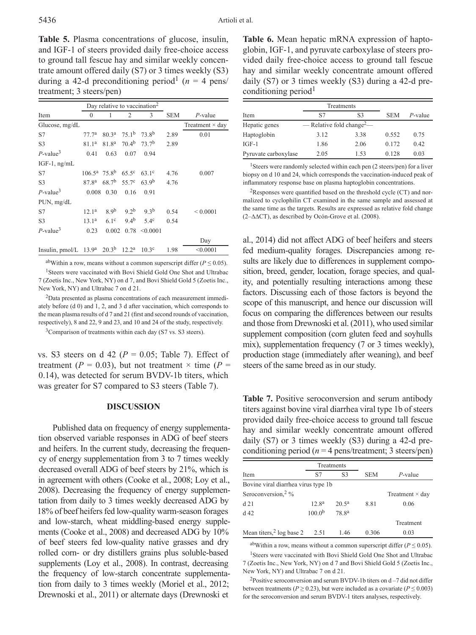**Table 5.** Plasma concentrations of glucose, insulin, and IGF-1 of steers provided daily free-choice access to ground tall fescue hay and similar weekly concentrate amount offered daily (S7) or 3 times weekly (S3) during a 42-d preconditioning period<sup>1</sup> ( $n = 4$  pens/ treatment; 3 steers/pen)

|                         | Day relative to vaccination <sup>2</sup> |                                               |                   |                   |            |                        |
|-------------------------|------------------------------------------|-----------------------------------------------|-------------------|-------------------|------------|------------------------|
| Item                    | $\theta$                                 |                                               | $\overline{2}$    | 3                 | <b>SEM</b> | $P$ -value             |
| Glucose, mg/dL          |                                          |                                               |                   |                   |            | Treatment $\times$ day |
| S7                      | 77.7 <sup>a</sup>                        | $80.3^a$ 75.1 <sup>b</sup> 73.8 <sup>b</sup>  |                   |                   | 2.89       | 0.01                   |
| S <sub>3</sub>          | 81.1 <sup>a</sup>                        | 81.8 <sup>a</sup>                             |                   | $70.4b$ $73.7b$   | 2.89       |                        |
| $P$ -value <sup>3</sup> | 0.41                                     | 0.63                                          | 0.07              | 0.94              |            |                        |
| $IGF-1$ , ng/mL         |                                          |                                               |                   |                   |            |                        |
| S7                      |                                          | $106.5^a$ 75.8 <sup>b</sup> 65.5 <sup>c</sup> |                   | $63.1^{\circ}$    | 4.76       | 0.007                  |
| S <sub>3</sub>          | 87.8 <sup>a</sup>                        | 68.7 <sup>b</sup>                             | 55.7 <sup>c</sup> | 63.9 <sup>b</sup> | 4.76       |                        |
| $P$ -value <sup>3</sup> | 0.008                                    | 0.30                                          | 0.16              | 0.91              |            |                        |
| PUN, mg/dL              |                                          |                                               |                   |                   |            |                        |
| S7                      | 12.1 <sup>a</sup>                        | 8.9 <sup>b</sup>                              | 9.2 <sup>b</sup>  | 9.3 <sup>b</sup>  | 0.54       | ${}_{0.0001}$          |
| S <sub>3</sub>          | 13.1 <sup>a</sup>                        | $6.1^\circ$                                   | 9.4 <sup>b</sup>  | $5.4^\circ$       | 0.54       |                        |
| $P$ -value <sup>3</sup> | 0.23                                     | 0.002                                         | 0.78              | < 0.0001          |            |                        |
|                         |                                          |                                               |                   |                   |            | Day                    |
| Insulin, pmol/L         | 13.9 <sup>a</sup>                        | $20.3^{b}$                                    | 12.2 <sup>a</sup> | 10.3 <sup>c</sup> | 1.98       | < 0.0001               |

abWithin a row, means without a common superscript differ ( $P \le 0.05$ ). <sup>1</sup>Steers were vaccinated with Bovi Shield Gold One Shot and Ultrabac

7 (Zoetis Inc., New York, NY) on d 7, and Bovi Shield Gold 5 (Zoetis Inc., New York, NY) and Ultrabac 7 on d 21.

2Data presented as plasma concentrations of each measurement immediately before (d 0) and 1, 2, and 3 d after vaccination, which corresponds to the mean plasma results of d 7 and 21 (first and second rounds of vaccination, respectively), 8 and 22, 9 and 23, and 10 and 24 of the study, respectively.

<sup>3</sup>Comparison of treatments within each day (S7 vs. S3 steers).

vs. S3 steers on d 42 ( $P = 0.05$ ; Table 7). Effect of treatment ( $P = 0.03$ ), but not treatment  $\times$  time ( $P =$ 0.14), was detected for serum BVDV-1b titers, which was greater for S7 compared to S3 steers (Table 7).

#### **DISCUSSION**

Published data on frequency of energy supplementation observed variable responses in ADG of beef steers and heifers. In the current study, decreasing the frequency of energy supplementation from 3 to 7 times weekly decreased overall ADG of beef steers by 21%, which is in agreement with others (Cooke et al., 2008; Loy et al., 2008). Decreasing the frequency of energy supplementation from daily to 3 times weekly decreased ADG by 18% of beef heifers fed low-quality warm-season forages and low-starch, wheat middling-based energy supplements (Cooke et al., 2008) and decreased ADG by 10% of beef steers fed low-quality native grasses and dry rolled corn- or dry distillers grains plus soluble-based supplements (Loy et al., 2008). In contrast, decreasing the frequency of low-starch concentrate supplementation from daily to 3 times weekly (Moriel et al., 2012; Drewnoski et al., 2011) or alternate days (Drewnoski et

**Table 6.** Mean hepatic mRNA expression of haptoglobin, IGF-1, and pyruvate carboxylase of steers provided daily free-choice access to ground tall fescue hay and similar weekly concentrate amount offered daily (S7) or 3 times weekly (S3) during a 42-d preconditioning period<sup>1</sup>

|                      |                                       | Treatments     |            |            |
|----------------------|---------------------------------------|----------------|------------|------------|
| Item                 | S7                                    | S <sub>3</sub> | <b>SEM</b> | $P$ -value |
| Hepatic genes        | — Relative fold change <sup>2</sup> — |                |            |            |
| Haptoglobin          | 3.12                                  | 3.38           | 0.552      | 0.75       |
| $IGF-1$              | 1.86                                  | 2.06           | 0.172      | 0.42       |
| Pyruvate carboxylase | 2.05                                  | 1.53           | 0.128      | 0.03       |

<sup>1</sup>Steers were randomly selected within each pen (2 steers/pen) for a liver biopsy on d 10 and 24, which corresponds the vaccination-induced peak of inflammatory response base on plasma haptoglobin concentrations.

 ${}^{2}$ Responses were quantified based on the threshold cycle (CT) and normalized to cyclophilin CT examined in the same sample and assessed at the same time as the targets. Results are expressed as relative fold change (2–∆∆CT), as described by Ocón-Grove et al. (2008).

al., 2014) did not affect ADG of beef heifers and steers fed medium-quality forages. Discrepancies among results are likely due to differences in supplement composition, breed, gender, location, forage species, and quality, and potentially resulting interactions among these factors. Discussing each of those factors is beyond the scope of this manuscript, and hence our discussion will focus on comparing the differences between our results and those from Drewnoski et al. (2011), who used similar supplement composition (corn gluten feed and soyhulls mix), supplementation frequency (7 or 3 times weekly), production stage (immediately after weaning), and beef steers of the same breed as in our study.

**Table 7.** Positive seroconversion and serum antibody titers against bovine viral diarrhea viral type 1b of steers provided daily free-choice access to ground tall fescue hay and similar weekly concentrate amount offered daily (S7) or 3 times weekly (S3) during a 42-d preconditioning period ( $n = 4$  pens/treatment; 3 steers/pen)

|                                     |                      | Treatments        |            |                        |  |
|-------------------------------------|----------------------|-------------------|------------|------------------------|--|
| Item                                | S7<br>S <sub>3</sub> |                   | <b>SEM</b> | $P$ -value             |  |
| Bovine viral diarrhea virus type 1b |                      |                   |            |                        |  |
| Seroconversion, <sup>2</sup> %      |                      |                   |            | Treatment $\times$ day |  |
| d21                                 | 12.8 <sup>a</sup>    | $20.5^{\rm a}$    | 8.81       | 0.06                   |  |
| $d$ 42                              | 100.0 <sup>b</sup>   | 78.8 <sup>a</sup> |            |                        |  |
|                                     |                      |                   |            | Treatment              |  |
| Mean titers, $2$ log base 2         | 2.51                 | 1.46              | 0.306      | 0.03                   |  |

abWithin a row, means without a common superscript differ ( $P \le 0.05$ ). <sup>1</sup>Steers were vaccinated with Bovi Shield Gold One Shot and Ultrabac 7 (Zoetis Inc., New York, NY) on d 7 and Bovi Shield Gold 5 (Zoetis Inc., New York, NY) and Ultrabac 7 on d 21.

<sup>2</sup>Positive seroconversion and serum BVDV-1b titers on  $d - 7$  did not differ between treatments ( $P \ge 0.23$ ), but were included as a covariate ( $P \le 0.003$ ) for the seroconversion and serum BVDV-1 titers analyses, respectively.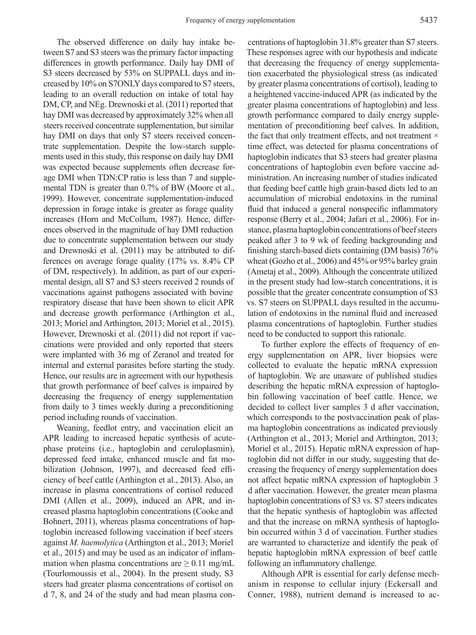The observed difference on daily hay intake between S7 and S3 steers was the primary factor impacting differences in growth performance. Daily hay DMI of S3 steers decreased by 53% on SUPPALL days and increased by 10% on S7ONLY days compared to S7 steers, leading to an overall reduction on intake of total hay DM, CP, and NEg. Drewnoski et al. (2011) reported that hay DMI was decreased by approximately 32% when all steers received concentrate supplementation, but similar hay DMI on days that only S7 steers received concentrate supplementation. Despite the low-starch supplements used in this study, this response on daily hay DMI was expected because supplements often decrease forage DMI when TDN:CP ratio is less than 7 and supplemental TDN is greater than 0.7% of BW (Moore et al., 1999). However, concentrate supplementation-induced depression in forage intake is greater as forage quality increases (Horn and McCollum, 1987). Hence, differences observed in the magnitude of hay DMI reduction due to concentrate supplementation between our study and Drewnoski et al. (2011) may be attributed to differences on average forage quality (17% vs. 8.4% CP of DM, respectively). In addition, as part of our experimental design, all S7 and S3 steers received 2 rounds of vaccinations against pathogens associated with bovine respiratory disease that have been shown to elicit APR and decrease growth performance (Arthington et al., 2013; Moriel and Arthington, 2013; Moriel et al., 2015). However, Drewnoski et al. (2011) did not report if vaccinations were provided and only reported that steers were implanted with 36 mg of Zeranol and treated for internal and external parasites before starting the study. Hence, our results are in agreement with our hypothesis that growth performance of beef calves is impaired by decreasing the frequency of energy supplementation from daily to 3 times weekly during a preconditioning period including rounds of vaccination.

Weaning, feedlot entry, and vaccination elicit an APR leading to increased hepatic synthesis of acutephase proteins (i.e., haptoglobin and ceruloplasmin), depressed feed intake, enhanced muscle and fat mobilization (Johnson, 1997), and decreased feed efficiency of beef cattle (Arthington et al., 2013). Also, an increase in plasma concentrations of cortisol reduced DMI (Allen et al., 2009), induced an APR, and increased plasma haptoglobin concentrations (Cooke and Bohnert, 2011), whereas plasma concentrations of haptoglobin increased following vaccination if beef steers against *M. haemolytica* (Arthington et al., 2013; Moriel et al., 2015) and may be used as an indicator of inflammation when plasma concentrations are  $\geq 0.11$  mg/mL (Tourlomoussis et al., 2004). In the present study, S3 steers had greater plasma concentrations of cortisol on d 7, 8, and 24 of the study and had mean plasma con-

centrations of haptoglobin 31.8% greater than S7 steers. These responses agree with our hypothesis and indicate that decreasing the frequency of energy supplementation exacerbated the physiological stress (as indicated by greater plasma concentrations of cortisol), leading to a heightened vaccine-induced APR (as indicated by the greater plasma concentrations of haptoglobin) and less growth performance compared to daily energy supplementation of preconditioning beef calves. In addition, the fact that only treatment effects, and not treatment  $\times$ time effect, was detected for plasma concentrations of haptoglobin indicates that S3 steers had greater plasma concentrations of haptoglobin even before vaccine administration. An increasing number of studies indicated that feeding beef cattle high grain-based diets led to an accumulation of microbial endotoxins in the ruminal fluid that induced a general nonspecific inflammatory response (Berry et al., 2004; Jafari et al., 2006). For instance, plasma haptoglobin concentrations of beef steers peaked after 3 to 9 wk of feeding backgrounding and finishing starch-based diets containing (DM basis) 76% wheat (Gozho et al., 2006) and 45% or 95% barley grain (Ametaj et al., 2009). Although the concentrate utilized in the present study had low-starch concentrations, it is possible that the greater concentrate consumption of S3 vs. S7 steers on SUPPALL days resulted in the accumulation of endotoxins in the ruminal fluid and increased plasma concentrations of haptoglobin. Further studies need to be conducted to support this rationale.

To further explore the effects of frequency of energy supplementation on APR, liver biopsies were collected to evaluate the hepatic mRNA expression of haptoglobin. We are unaware of published studies describing the hepatic mRNA expression of haptoglobin following vaccination of beef cattle. Hence, we decided to collect liver samples 3 d after vaccination, which corresponds to the postvaccination peak of plasma haptoglobin concentrations as indicated previously (Arthington et al., 2013; Moriel and Arthington, 2013; Moriel et al., 2015). Hepatic mRNA expression of haptoglobin did not differ in our study, suggesting that decreasing the frequency of energy supplementation does not affect hepatic mRNA expression of haptoglobin 3 d after vaccination. However, the greater mean plasma haptoglobin concentrations of S3 vs. S7 steers indicates that the hepatic synthesis of haptoglobin was affected and that the increase on mRNA synthesis of haptoglobin occurred within 3 d of vaccination. Further studies are warranted to characterize and identify the peak of hepatic haptoglobin mRNA expression of beef cattle following an inflammatory challenge.

Although APR is essential for early defense mechanism in response to cellular injury (Eckersall and Conner, 1988), nutrient demand is increased to ac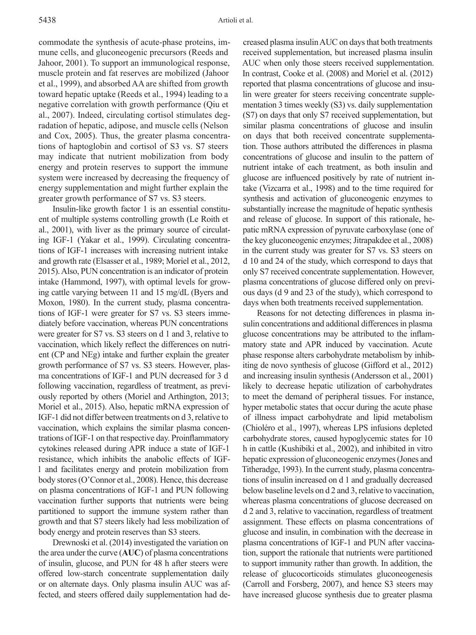commodate the synthesis of acute-phase proteins, immune cells, and gluconeogenic precursors (Reeds and Jahoor, 2001). To support an immunological response, muscle protein and fat reserves are mobilized (Jahoor et al., 1999), and absorbed AA are shifted from growth toward hepatic uptake (Reeds et al., 1994) leading to a negative correlation with growth performance (Qiu et al., 2007). Indeed, circulating cortisol stimulates degradation of hepatic, adipose, and muscle cells (Nelson and Cox, 2005). Thus, the greater plasma concentrations of haptoglobin and cortisol of S3 vs. S7 steers may indicate that nutrient mobilization from body energy and protein reserves to support the immune system were increased by decreasing the frequency of energy supplementation and might further explain the greater growth performance of S7 vs. S3 steers.

Insulin-like growth factor 1 is an essential constituent of multiple systems controlling growth (Le Roith et al., 2001), with liver as the primary source of circulating IGF-1 (Yakar et al., 1999). Circulating concentrations of IGF-1 increases with increasing nutrient intake and growth rate (Elsasser et al., 1989; Moriel et al., 2012, 2015). Also, PUN concentration is an indicator of protein intake (Hammond, 1997), with optimal levels for growing cattle varying between 11 and 15 mg/dL (Byers and Moxon, 1980). In the current study, plasma concentrations of IGF-1 were greater for S7 vs. S3 steers immediately before vaccination, whereas PUN concentrations were greater for S7 vs. S3 steers on d 1 and 3, relative to vaccination, which likely reflect the differences on nutrient (CP and NEg) intake and further explain the greater growth performance of S7 vs. S3 steers. However, plasma concentrations of IGF-1 and PUN decreased for 3 d following vaccination, regardless of treatment, as previously reported by others (Moriel and Arthington, 2013; Moriel et al., 2015). Also, hepatic mRNA expression of IGF-1 did not differ between treatments on d 3, relative to vaccination, which explains the similar plasma concentrations of IGF-1 on that respective day. Proinflammatory cytokines released during APR induce a state of IGF-1 resistance, which inhibits the anabolic effects of IGF-1 and facilitates energy and protein mobilization from body stores (O'Connor et al., 2008). Hence, this decrease on plasma concentrations of IGF-1 and PUN following vaccination further supports that nutrients were being partitioned to support the immune system rather than growth and that S7 steers likely had less mobilization of body energy and protein reserves than S3 steers.

Drewnoski et al. (2014) investigated the variation on the area under the curve (**AUC**) of plasma concentrations of insulin, glucose, and PUN for 48 h after steers were offered low-starch concentrate supplementation daily or on alternate days. Only plasma insulin AUC was affected, and steers offered daily supplementation had de-

creased plasma insulin AUC on days that both treatments received supplementation, but increased plasma insulin AUC when only those steers received supplementation. In contrast, Cooke et al. (2008) and Moriel et al. (2012) reported that plasma concentrations of glucose and insulin were greater for steers receiving concentrate supplementation 3 times weekly (S3) vs. daily supplementation (S7) on days that only S7 received supplementation, but similar plasma concentrations of glucose and insulin on days that both received concentrate supplementation. Those authors attributed the differences in plasma concentrations of glucose and insulin to the pattern of nutrient intake of each treatment, as both insulin and glucose are influenced positively by rate of nutrient intake (Vizcarra et al., 1998) and to the time required for synthesis and activation of gluconeogenic enzymes to substantially increase the magnitude of hepatic synthesis and release of glucose. In support of this rationale, hepatic mRNA expression of pyruvate carboxylase (one of the key gluconeogenic enzymes; Jitrapakdee et al., 2008) in the current study was greater for S7 vs. S3 steers on d 10 and 24 of the study, which correspond to days that only S7 received concentrate supplementation. However, plasma concentrations of glucose differed only on previous days (d 9 and 23 of the study), which correspond to days when both treatments received supplementation.

Reasons for not detecting differences in plasma insulin concentrations and additional differences in plasma glucose concentrations may be attributed to the inflammatory state and APR induced by vaccination. Acute phase response alters carbohydrate metabolism by inhibiting de novo synthesis of glucose (Gifford et al., 2012) and increasing insulin synthesis (Andersson et al., 2001) likely to decrease hepatic utilization of carbohydrates to meet the demand of peripheral tissues. For instance, hyper metabolic states that occur during the acute phase of illness impact carbohydrate and lipid metabolism (Chioléro et al., 1997), whereas LPS infusions depleted carbohydrate stores, caused hypoglycemic states for 10 h in cattle (Kushibiki et al., 2002), and inhibited in vitro hepatic expression of gluconeogenic enzymes (Jones and Titheradge, 1993). In the current study, plasma concentrations of insulin increased on d 1 and gradually decreased below baseline levels on d 2 and 3, relative to vaccination, whereas plasma concentrations of glucose decreased on d 2 and 3, relative to vaccination, regardless of treatment assignment. These effects on plasma concentrations of glucose and insulin, in combination with the decrease in plasma concentrations of IGF-1 and PUN after vaccination, support the rationale that nutrients were partitioned to support immunity rather than growth. In addition, the release of glucocorticoids stimulates gluconeogenesis (Carroll and Forsberg, 2007), and hence S3 steers may have increased glucose synthesis due to greater plasma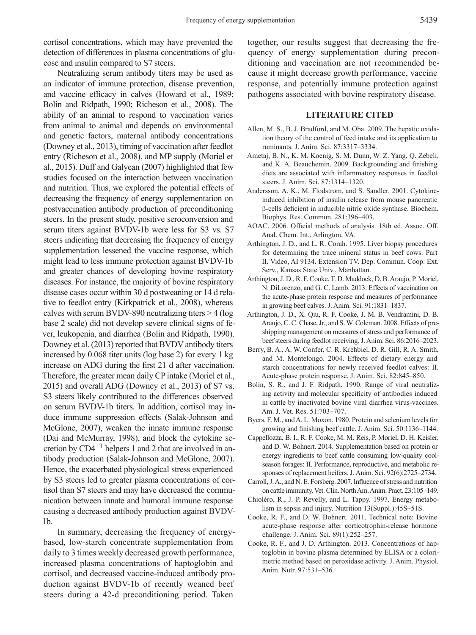cortisol concentrations, which may have prevented the detection of differences in plasma concentrations of glucose and insulin compared to S7 steers.

Neutralizing serum antibody titers may be used as an indicator of immune protection, disease prevention, and vaccine efficacy in calves (Howard et al., 1989; Bolin and Ridpath, 1990; Richeson et al., 2008). The ability of an animal to respond to vaccination varies from animal to animal and depends on environmental and genetic factors, maternal antibody concentrations (Downey et al., 2013), timing of vaccination after feedlot entry (Richeson et al., 2008), and MP supply (Moriel et al., 2015). Duff and Galyean (2007) highlighted that few studies focused on the interaction between vaccination and nutrition. Thus, we explored the potential effects of decreasing the frequency of energy supplementation on postvaccination antibody production of preconditioning steers. In the present study, positive seroconversion and serum titers against BVDV-1b were less for S3 vs. S7 steers indicating that decreasing the frequency of energy supplementation lessened the vaccine response, which might lead to less immune protection against BVDV-1b and greater chances of developing bovine respiratory diseases. For instance, the majority of bovine respiratory disease cases occur within 30 d postweaning or 14 d relative to feedlot entry (Kirkpatrick et al., 2008), whereas calves with serum BVDV-890 neutralizing titers > 4 (log base 2 scale) did not develop severe clinical signs of fever, leukopenia, and diarrhea (Bolin and Ridpath, 1990). Downey et al. (2013) reported that BVDV antibody titers increased by 0.068 titer units (log base 2) for every 1 kg increase on ADG during the first 21 d after vaccination. Therefore, the greater mean daily CP intake (Moriel et al., 2015) and overall ADG (Downey et al., 2013) of S7 vs. S3 steers likely contributed to the differences observed on serum BVDV-1b titers. In addition, cortisol may induce immune suppression effects (Salak-Johnson and McGlone, 2007), weaken the innate immune response (Dai and McMurray, 1998), and block the cytokine secretion by  $CD4^{+T}$  helpers 1 and 2 that are involved in antibody production (Salak-Johnson and McGlone, 2007). Hence, the exacerbated physiological stress experienced by S3 steers led to greater plasma concentrations of cortisol than S7 steers and may have decreased the communication between innate and humoral immune response causing a decreased antibody production against BVDV-1b.

In summary, decreasing the frequency of energybased, low-starch concentrate supplementation from daily to 3 times weekly decreased growth performance, increased plasma concentrations of haptoglobin and cortisol, and decreased vaccine-induced antibody production against BVDV-1b of recently weaned beef steers during a 42-d preconditioning period. Taken

together, our results suggest that decreasing the frequency of energy supplementation during preconditioning and vaccination are not recommended because it might decrease growth performance, vaccine response, and potentially immune protection against pathogens associated with bovine respiratory disease.

### **LITERATURE CITED**

- Allen, M. S., B. J. Bradford, and M. Oba. 2009. The hepatic oxidation theory of the control of feed intake and its application to ruminants. J. Anim. Sci. 87:3317–3334.
- Ametaj, B. N., K. M. Koenig, S. M. Dunn, W. Z. Yang, Q. Zebeli, and K. A. Beauchemin. 2009. Backgrounding and finishing diets are associated with inflammatory responses in feedlot steers. J. Anim. Sci. 87:1314–1320.
- Andersson, A. K., M. Flodstrom, and S. Sandler. 2001. Cytokineinduced inhibition of insulin release from mouse pancreatic β-cells deficient in inducible nitric oxide synthase. Biochem. Biophys. Res. Commun. 281:396–403.
- AOAC. 2006. Official methods of analysis. 18th ed. Assoc. Off. Anal. Chem. Int., Arlington, VA.
- Arthington, J. D., and L. R. Corah. 1995. Liver biopsy procedures for determining the trace mineral status in beef cows. Part II. Video, AI 9134. Extension TV. Dep. Commun. Coop. Ext. Serv., Kansas State Univ., Manhattan.
- Arthington, J. D., R. F. Cooke, T. D. Maddock, D. B. Araujo, P. Moriel, N. DiLorenzo, and G. C. Lamb. 2013. Effects of vaccination on the acute-phase protein response and measures of performance in growing beef calves. J. Anim. Sci. 91:1831–1837.
- Arthington, J. D., X. Qiu, R. F. Cooke, J. M. B. Vendramini, D. B. Araujo, C. C. Chase, Jr., and S. W. Coleman. 2008. Effects of preshipping management on measures of stress and performance of beef steers during feedlot receiving. J. Anim. Sci. 86:2016–2023.
- Berry, B. A., A. W. Confer, C. R. Krehbiel, D. R. Gill, R. A. Smith, and M. Montelongo. 2004. Effects of dietary energy and starch concentrations for newly received feedlot calves: II. Acute-phase protein response. J. Anim. Sci. 82:845–850.
- Bolin, S. R., and J. F. Ridpath. 1990. Range of viral neutralizing activity and molecular specificity of antibodies induced in cattle by inactivated bovine viral diarrhea virus-vaccines. Am. J. Vet. Res. 51:703–707.
- Byers, F. M., and A. L. Moxon. 1980. Protein and selenium levels for growing and finishing beef cattle. J. Anim. Sci. 50:1136–1144.
- Cappellozza, B. I., R. F. Cooke, M. M. Reis, P. Moriel, D. H. Keisler, and D. W. Bohnert. 2014. Supplementation based on protein or energy ingredients to beef cattle consuming low-quality coolseason forages: II. Performance, reproductive, and metabolic responses of replacement heifers. J. Anim. Sci. 92(6):2725–2734.
- Carroll, J. A., and N. E. Forsberg. 2007. Influence of stress and nutrition on cattle immunity. Vet. Clin. North Am. Anim. Pract. 23:105–149.
- Chioléro, R., J. P. Revelly, and L. Tappy. 1997. Energy metabolism in sepsis and injury. Nutrition 13(Suppl.):45S–51S.
- Cooke, R. F., and D. W. Bohnert. 2011. Technical note: Bovine acute-phase response after corticotrophin-release hormone challenge. J. Anim. Sci. 89(1):252–257.
- Cooke, R. F., and J. D. Arthington. 2013. Concentrations of haptoglobin in bovine plasma determined by ELISA or a colorimetric method based on peroxidase activity. J. Anim. Physiol. Anim. Nutr. 97:531–536.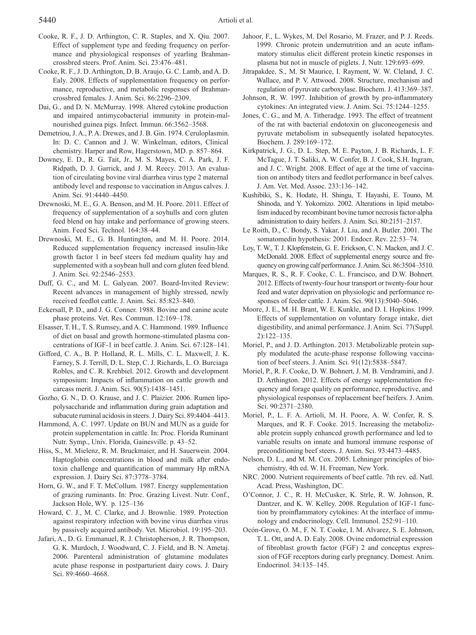- Cooke, R. F., J. D. Arthington, C. R. Staples, and X. Qiu. 2007. Effect of supplement type and feeding frequency on performance and physiological responses of yearling Brahmancrossbred steers. Prof. Anim. Sci. 23:476–481.
- Cooke, R. F., J. D. Arthington, D. B. Araujo, G. C. Lamb, and A. D. Ealy. 2008. Effects of supplementation frequency on performance, reproductive, and metabolic responses of Brahmancrossbred females. J. Anim. Sci. 86:2296–2309.
- Dai, G., and D. N. McMurray. 1998. Altered cytokine production and impaired antimycobacterial immunity in protein-malnourished guinea pigs. Infect. Immun. 66:3562–3568.
- Demetriou, J. A., P. A. Drewes, and J. B. Gin. 1974. Ceruloplasmin. In: D. C. Cannon and J. W. Winkelman, editors, Clinical chemistry. Harper and Row, Hagerstown, MD. p. 857–864.
- Downey, E. D., R. G. Tait, Jr., M. S. Mayes, C. A. Park, J. F. Ridpath, D. J. Garrick, and J. M. Reecy. 2013. An evaluation of circulating bovine viral diarrhea virus type 2 maternal antibody level and response to vaccination in Angus calves. J. Anim. Sci. 91:4440–4450.
- Drewnoski, M. E., G. A. Benson, and M. H. Poore. 2011. Effect of frequency of supplementation of a soyhulls and corn gluten feed blend on hay intake and performance of growing steers. Anim. Feed Sci. Technol. 164:38–44.
- Drewnoski, M. E., G. B. Huntington, and M. H. Poore. 2014. Reduced supplementation frequency increased insulin-like growth factor 1 in beef steers fed medium quality hay and supplemented with a soybean hull and corn gluten feed blend. J. Anim. Sci. 92:2546–2553.
- Duff, G. C., and M. L. Galyean. 2007. Board-Invited Review: Recent advances in management of highly stressed, newly received feedlot cattle. J. Anim. Sci. 85:823–840.
- Eckersall, P. D., and J. G. Conner. 1988. Bovine and canine acute phase proteins. Vet. Res. Commun. 12:169–178.
- Elsasser, T. H., T. S. Rumsey, and A. C. Hammond. 1989. Influence of diet on basal and growth hormone-stimulated plasma concentrations of IGF-1 in beef cattle. J. Anim. Sci. 67:128–141.
- Gifford, C. A., B. P. Holland, R. L. Mills, C. L. Maxwell, J. K. Farney, S. J. Terrill, D. L. Step, C. J. Richards, L. O. Burciaga Robles, and C. R. Krehbiel. 2012. Growth and development symposium: Impacts of inflammation on cattle growth and carcass merit. J. Anim. Sci. 90(5):1438–1451.
- Gozho, G. N., D. O. Krause, and J. C. Plaizier. 2006. Rumen lipopolysaccharide and inflammation during grain adaptation and subacute ruminal acidosis in steers. J. Dairy Sci. 89:4404–4413.
- Hammond, A. C. 1997. Update on BUN and MUN as a guide for protein supplementation in cattle. In: Proc. Florida Ruminant Nutr. Symp., Univ. Florida, Gainesville. p. 43–52.
- Hiss, S., M. Mielenz, R. M. Bruckmaier, and H. Sauerwein. 2004. Haptoglobin concentrations in blood and milk after endotoxin challenge and quantification of mammary Hp mRNA expression. J. Dairy Sci. 87:3778–3784.
- Horn, G. W., and F. T. McCollum. 1987. Energy supplementation of grazing ruminants. In: Proc. Grazing Livest. Nutr. Conf., Jackson Hole, WY. p. 125–136
- Howard, C. J., M. C. Clarke, and J. Brownlie. 1989. Protection against respiratory infection with bovine virus diarrhea virus by passively acquired antibody. Vet. Microbiol. 19:195–203.
- Jafari, A., D. G. Emmanuel, R. J. Christopherson, J. R. Thompson, G. K. Murdoch, J. Woodward, C. J. Field, and B. N. Ametaj. 2006. Parenteral administration of glutamine modulates acute phase response in postparturient dairy cows. J. Dairy Sci. 89:4660–4668.
- Jahoor, F., L. Wykes, M. Del Rosario, M. Frazer, and P. J. Reeds. 1999. Chronic protein undernutrition and an acute inflammatory stimulus elicit different protein kinetic responses in plasma but not in muscle of piglets. J. Nutr. 129:693–699.
- Jitrapakdee, S., M. St Maurice, I. Rayment, W. W. Cleland, J. C. Wallace, and P. V. Attwood. 2008. Structure, mechanism and regulation of pyruvate carboxylase. Biochem. J. 413:369–387.
- Johnson, R. W. 1997. Inhibition of growth by pro-inflammatory cytokines: An integrated view. J. Anim. Sci. 75:1244–1255.
- Jones, C. G., and M. A. Titheradge. 1993. The effect of treatment of the rat with bacterial endotoxin on gluconeogenesis and pyruvate metabolism in subsequently isolated hepatocytes. Biochem. J. 289:169–172.
- Kirkpatrick, J. G., D. L. Step, M. E. Payton, J. B. Richards, L. F. McTague, J. T. Saliki, A. W. Confer, B. J. Cook, S.H. Ingram, and J. C. Wright. 2008. Effect of age at the time of vaccination on antibody titers and feedlot performance in beef calves. J. Am. Vet. Med. Assoc. 233:136–142.
- Kushibiki, S., K. Hodate, H. Shingu, T. Hayashi, E. Touno, M. Shinoda, and Y. Yokomizo. 2002. Alterations in lipid metabolism induced by recombinant bovine tumor necrosis factor-alpha administration to dairy heifers. J. Anim. Sci. 80:2151–2157.
- Le Roith, D., C. Bondy, S. Yakar, J. Liu, and A. Butler. 2001. The somatomedin hypothesis: 2001. Endocr. Rev. 22:53–74.
- Loy, T. W., T. J. Klopfenstein, G. E. Erickson, C. N. Macken, and J. C. McDonald. 2008. Effect of supplemental energy source and frequency on growing calf performance. J. Anim. Sci. 86:3504–3510.
- Marques, R. S., R. F. Cooke, C. L. Francisco, and D.W. Bohnert. 2012. Effects of twenty-four hour transport or twenty-four hour feed and water deprivation on physiologic and performance responses of feeder cattle. J. Anim. Sci. 90(13):5040–5046.
- Moore, J. E., M. H. Brant, W. E. Kunkle, and D. I. Hopkins. 1999. Effects of supplementation on voluntary forage intake, diet digestibility, and animal performance. J. Anim. Sci. 77(Suppl. 2):122–135.
- Moriel, P., and J. D. Arthington. 2013. Metabolizable protein supply modulated the acute-phase response following vaccination of beef steers. J. Anim. Sci. 91(12):5838–5847.
- Moriel, P., R. F. Cooke, D. W. Bohnert, J. M. B. Vendramini, and J. D. Arthington. 2012. Effects of energy supplementation frequency and forage quality on performance, reproductive, and physiological responses of replacement beef heifers. J. Anim. Sci. 90:2371–2380.
- Moriel, P., L. F. A. Artioli, M. H. Poore, A. W. Confer, R. S. Marques, and R. F. Cooke. 2015. Increasing the metabolizable protein supply enhanced growth performance and led to variable results on innate and humoral immune response of preconditioning beef steers. J. Anim. Sci. 93:4473–4485.
- Nelson, D. L., and M. M. Cox. 2005. Lehninger principles of biochemistry, 4th ed. W. H. Freeman, New York.
- NRC. 2000. Nutrient requirements of beef cattle. 7th rev. ed. Natl. Acad. Press, Washington, DC.
- O'Connor, J. C., R. H. McCusker, K. Strle, R. W. Johnson, R. Dantzer, and K. W. Kelley. 2008. Regulation of IGF-1 function by proinflammatory cytokines: At the interface of immunology and endocrinology. Cell. Immunol. 252:91–110.
- Ocón-Grove, O. M., F. N. T. Cooke, I. M. Alvarez, S. E. Johnson, T. L. Ott, and A. D. Ealy. 2008. Ovine endometrial expression of fibroblast growth factor (FGF) 2 and conceptus expression of FGF receptors during early pregnancy. Domest. Anim. Endocrinol. 34:135–145.